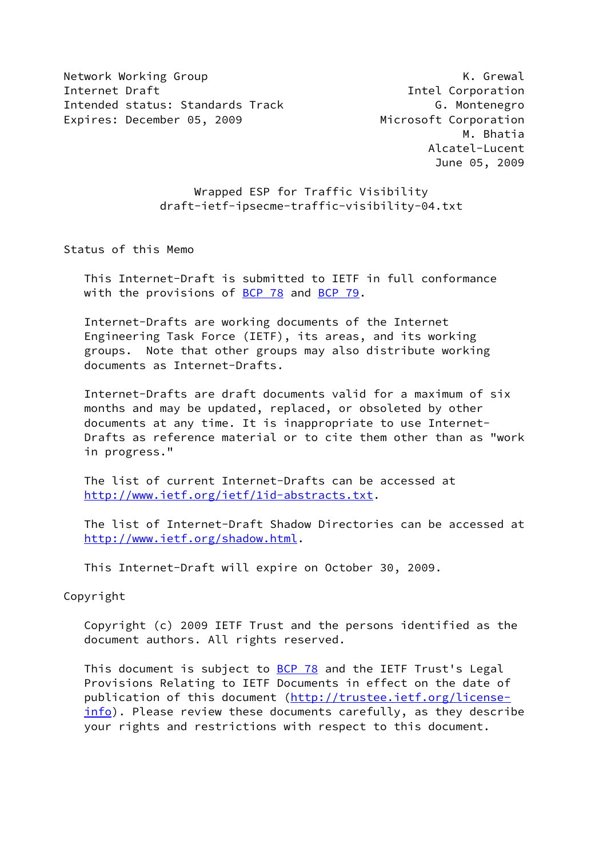Network Working Group **K. Grewal** Internet Draft **Intel Communist Communist Communist Communist Communist Communist Communist Communist Communist Communist Communist Communist Communist Communist Communist Communist Communist Communist Communist Communist** Intended status: Standards Track G. Montenegro Expires: December 05, 2009 Microsoft Corporation

 M. Bhatia Alcatel-Lucent June 05, 2009

# Wrapped ESP for Traffic Visibility draft-ietf-ipsecme-traffic-visibility-04.txt

Status of this Memo

 This Internet-Draft is submitted to IETF in full conformance with the provisions of [BCP 78](https://datatracker.ietf.org/doc/pdf/bcp78) and [BCP 79](https://datatracker.ietf.org/doc/pdf/bcp79).

 Internet-Drafts are working documents of the Internet Engineering Task Force (IETF), its areas, and its working groups. Note that other groups may also distribute working documents as Internet-Drafts.

 Internet-Drafts are draft documents valid for a maximum of six months and may be updated, replaced, or obsoleted by other documents at any time. It is inappropriate to use Internet- Drafts as reference material or to cite them other than as "work in progress."

 The list of current Internet-Drafts can be accessed at <http://www.ietf.org/ietf/1id-abstracts.txt>.

 The list of Internet-Draft Shadow Directories can be accessed at <http://www.ietf.org/shadow.html>.

This Internet-Draft will expire on October 30, 2009.

Copyright

 Copyright (c) 2009 IETF Trust and the persons identified as the document authors. All rights reserved.

This document is subject to **[BCP 78](https://datatracker.ietf.org/doc/pdf/bcp78)** and the IETF Trust's Legal Provisions Relating to IETF Documents in effect on the date of publication of this document [\(http://trustee.ietf.org/license](http://trustee.ietf.org/license-info) [info](http://trustee.ietf.org/license-info)). Please review these documents carefully, as they describe your rights and restrictions with respect to this document.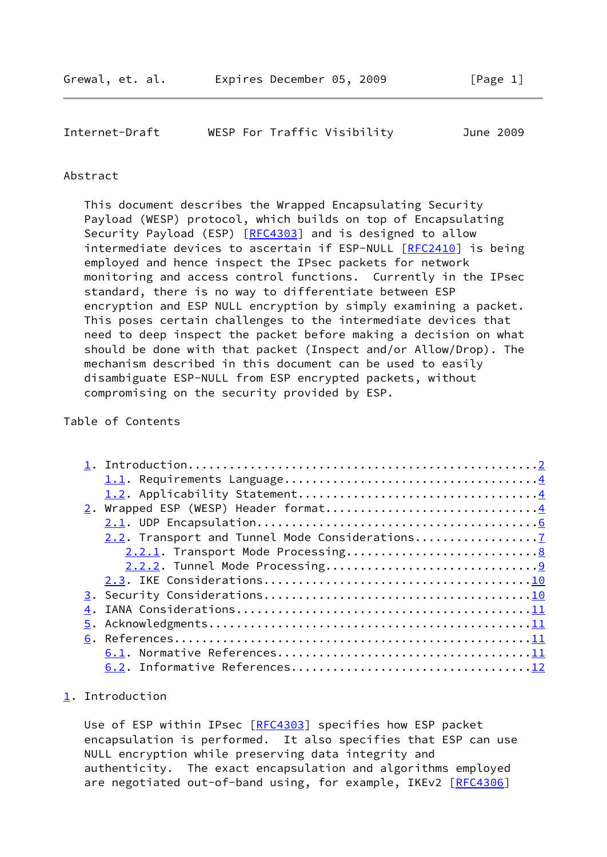<span id="page-1-1"></span>

| Internet-Draft |  | WESP For Traffic Visibility | June 2009 |
|----------------|--|-----------------------------|-----------|
|                |  |                             |           |

#### Abstract

 This document describes the Wrapped Encapsulating Security Payload (WESP) protocol, which builds on top of Encapsulating Security Payload (ESP) [\[RFC4303](https://datatracker.ietf.org/doc/pdf/rfc4303)] and is designed to allow intermediate devices to ascertain if ESP-NULL [[RFC2410](https://datatracker.ietf.org/doc/pdf/rfc2410)] is being employed and hence inspect the IPsec packets for network monitoring and access control functions. Currently in the IPsec standard, there is no way to differentiate between ESP encryption and ESP NULL encryption by simply examining a packet. This poses certain challenges to the intermediate devices that need to deep inspect the packet before making a decision on what should be done with that packet (Inspect and/or Allow/Drop). The mechanism described in this document can be used to easily disambiguate ESP-NULL from ESP encrypted packets, without compromising on the security provided by ESP.

# Table of Contents

| 2. Wrapped ESP (WESP) Header format4          |  |
|-----------------------------------------------|--|
|                                               |  |
| 2.2. Transport and Tunnel Mode Considerations |  |
|                                               |  |
|                                               |  |
|                                               |  |
|                                               |  |
|                                               |  |
|                                               |  |
|                                               |  |
|                                               |  |
|                                               |  |

# <span id="page-1-0"></span>[1](#page-1-0). Introduction

Use of ESP within IPsec [\[RFC4303](https://datatracker.ietf.org/doc/pdf/rfc4303)] specifies how ESP packet encapsulation is performed. It also specifies that ESP can use NULL encryption while preserving data integrity and authenticity. The exact encapsulation and algorithms employed are negotiated out-of-band using, for example, IKEv2 [\[RFC4306](https://datatracker.ietf.org/doc/pdf/rfc4306)]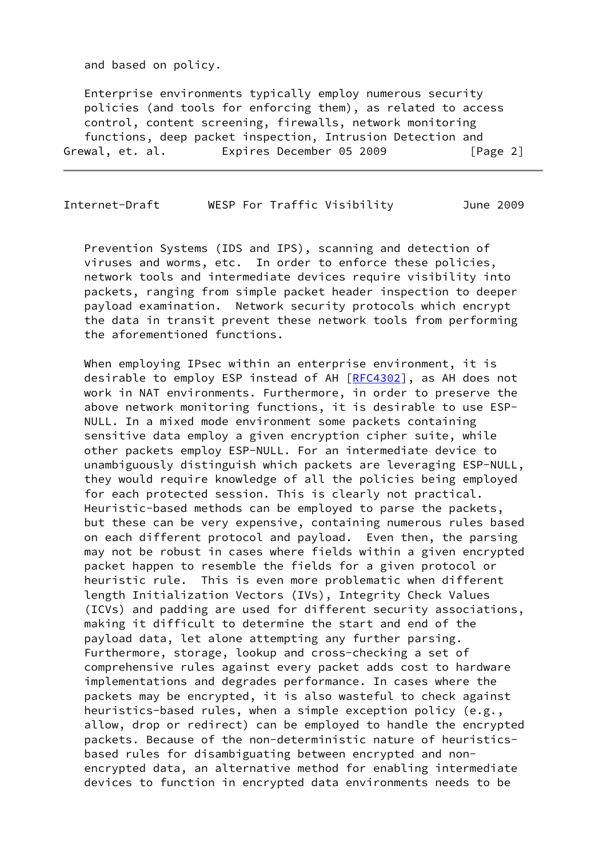and based on policy.

 Enterprise environments typically employ numerous security policies (and tools for enforcing them), as related to access control, content screening, firewalls, network monitoring functions, deep packet inspection, Intrusion Detection and Grewal, et. al. Expires December 05 2009 [Page 2]

Internet-Draft WESP For Traffic Visibility June 2009

 Prevention Systems (IDS and IPS), scanning and detection of viruses and worms, etc. In order to enforce these policies, network tools and intermediate devices require visibility into packets, ranging from simple packet header inspection to deeper payload examination. Network security protocols which encrypt the data in transit prevent these network tools from performing the aforementioned functions.

 When employing IPsec within an enterprise environment, it is desirable to employ ESP instead of AH [[RFC4302](https://datatracker.ietf.org/doc/pdf/rfc4302)], as AH does not work in NAT environments. Furthermore, in order to preserve the above network monitoring functions, it is desirable to use ESP- NULL. In a mixed mode environment some packets containing sensitive data employ a given encryption cipher suite, while other packets employ ESP-NULL. For an intermediate device to unambiguously distinguish which packets are leveraging ESP-NULL, they would require knowledge of all the policies being employed for each protected session. This is clearly not practical. Heuristic-based methods can be employed to parse the packets, but these can be very expensive, containing numerous rules based on each different protocol and payload. Even then, the parsing may not be robust in cases where fields within a given encrypted packet happen to resemble the fields for a given protocol or heuristic rule. This is even more problematic when different length Initialization Vectors (IVs), Integrity Check Values (ICVs) and padding are used for different security associations, making it difficult to determine the start and end of the payload data, let alone attempting any further parsing. Furthermore, storage, lookup and cross-checking a set of comprehensive rules against every packet adds cost to hardware implementations and degrades performance. In cases where the packets may be encrypted, it is also wasteful to check against heuristics-based rules, when a simple exception policy (e.g., allow, drop or redirect) can be employed to handle the encrypted packets. Because of the non-deterministic nature of heuristics based rules for disambiguating between encrypted and non encrypted data, an alternative method for enabling intermediate devices to function in encrypted data environments needs to be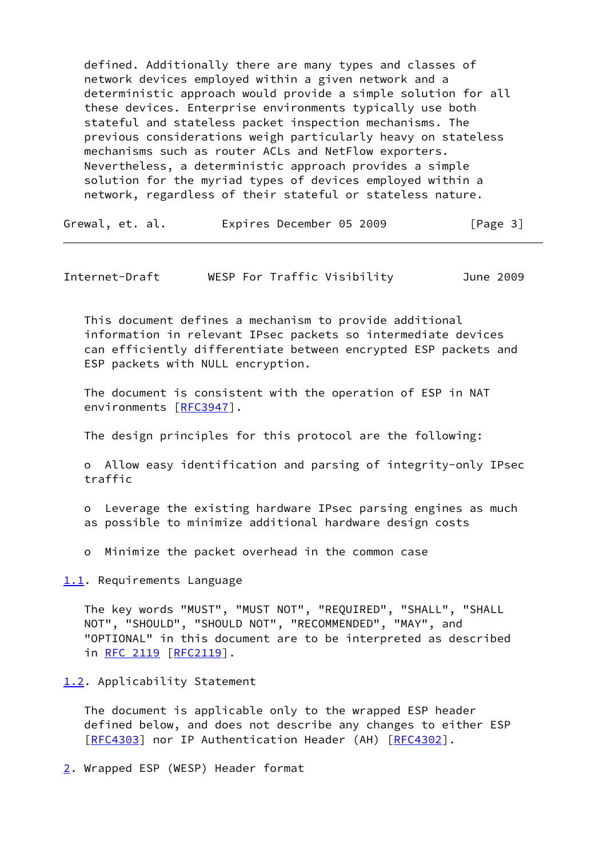defined. Additionally there are many types and classes of network devices employed within a given network and a deterministic approach would provide a simple solution for all these devices. Enterprise environments typically use both stateful and stateless packet inspection mechanisms. The previous considerations weigh particularly heavy on stateless mechanisms such as router ACLs and NetFlow exporters. Nevertheless, a deterministic approach provides a simple solution for the myriad types of devices employed within a network, regardless of their stateful or stateless nature.

| Grewal, et. al. | Expires December 05 2009 | [Page 3] |
|-----------------|--------------------------|----------|
|-----------------|--------------------------|----------|

<span id="page-3-1"></span>Internet-Draft WESP For Traffic Visibility June 2009

 This document defines a mechanism to provide additional information in relevant IPsec packets so intermediate devices can efficiently differentiate between encrypted ESP packets and ESP packets with NULL encryption.

 The document is consistent with the operation of ESP in NAT environments [\[RFC3947](https://datatracker.ietf.org/doc/pdf/rfc3947)].

The design principles for this protocol are the following:

 o Allow easy identification and parsing of integrity-only IPsec traffic

 o Leverage the existing hardware IPsec parsing engines as much as possible to minimize additional hardware design costs

o Minimize the packet overhead in the common case

<span id="page-3-0"></span>[1.1](#page-3-0). Requirements Language

 The key words "MUST", "MUST NOT", "REQUIRED", "SHALL", "SHALL NOT", "SHOULD", "SHOULD NOT", "RECOMMENDED", "MAY", and "OPTIONAL" in this document are to be interpreted as described in [RFC 2119 \[RFC2119](https://datatracker.ietf.org/doc/pdf/rfc2119)].

<span id="page-3-2"></span>[1.2](#page-3-2). Applicability Statement

 The document is applicable only to the wrapped ESP header defined below, and does not describe any changes to either ESP [\[RFC4303](https://datatracker.ietf.org/doc/pdf/rfc4303)] nor IP Authentication Header (AH) [\[RFC4302](https://datatracker.ietf.org/doc/pdf/rfc4302)].

<span id="page-3-3"></span>[2](#page-3-3). Wrapped ESP (WESP) Header format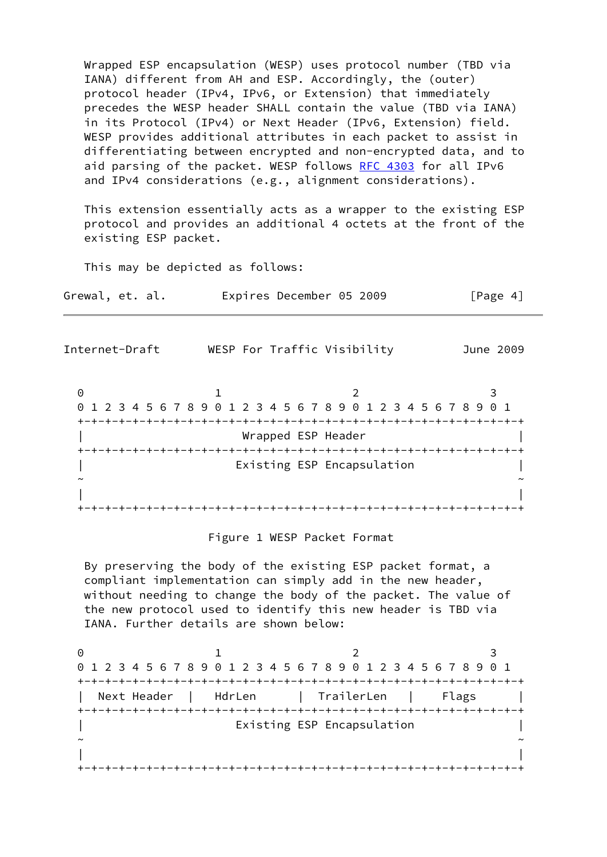Wrapped ESP encapsulation (WESP) uses protocol number (TBD via IANA) different from AH and ESP. Accordingly, the (outer) protocol header (IPv4, IPv6, or Extension) that immediately precedes the WESP header SHALL contain the value (TBD via IANA) in its Protocol (IPv4) or Next Header (IPv6, Extension) field. WESP provides additional attributes in each packet to assist in differentiating between encrypted and non-encrypted data, and to aid parsing of the packet. WESP follows [RFC 4303](https://datatracker.ietf.org/doc/pdf/rfc4303) for all IPv6 and IPv4 considerations (e.g., alignment considerations).

 This extension essentially acts as a wrapper to the existing ESP protocol and provides an additional 4 octets at the front of the existing ESP packet.

This may be depicted as follows:

Grewal, et. al. Expires December 05 2009 [Page 4]

| Internet-Draft | WESP For Traffic Visibility |                                                               | June 2009 |
|----------------|-----------------------------|---------------------------------------------------------------|-----------|
| 0              |                             |                                                               |           |
|                |                             | 1 2 3 4 5 6 7 8 9 0 1 2 3 4 5 6 7 8 9 0 1 2 3 4 5 6 7 8 9 0 1 |           |
|                |                             |                                                               |           |
|                | Wrapped ESP Header          |                                                               |           |
|                |                             |                                                               |           |
|                |                             | Existing ESP Encapsulation                                    |           |
|                |                             |                                                               |           |
|                |                             |                                                               |           |
|                |                             |                                                               |           |

#### Figure 1 WESP Packet Format

 By preserving the body of the existing ESP packet format, a compliant implementation can simply add in the new header, without needing to change the body of the packet. The value of the new protocol used to identify this new header is TBD via IANA. Further details are shown below:

| 0 1 2 3 4 5 6 7 8 9 0 1 2 3 4 5 6 7 8 9 0 1 2 3 4 5 6 7 8 9 0 1 |                                           |  |
|-----------------------------------------------------------------|-------------------------------------------|--|
|                                                                 |                                           |  |
|                                                                 | Next Header   HdrLen   TrailerLen   Flags |  |
|                                                                 |                                           |  |
|                                                                 | Existing ESP Encapsulation                |  |
|                                                                 |                                           |  |
|                                                                 |                                           |  |
|                                                                 |                                           |  |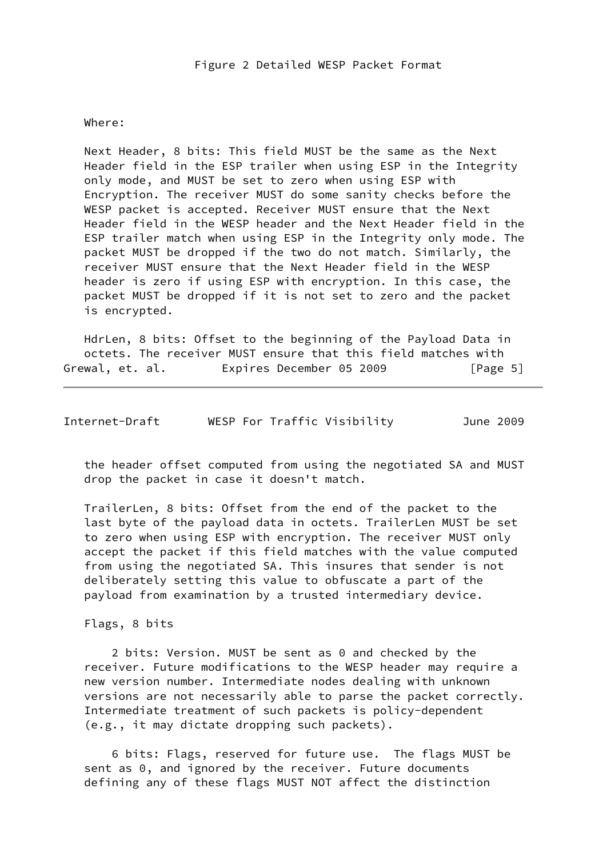#### Where:

 Next Header, 8 bits: This field MUST be the same as the Next Header field in the ESP trailer when using ESP in the Integrity only mode, and MUST be set to zero when using ESP with Encryption. The receiver MUST do some sanity checks before the WESP packet is accepted. Receiver MUST ensure that the Next Header field in the WESP header and the Next Header field in the ESP trailer match when using ESP in the Integrity only mode. The packet MUST be dropped if the two do not match. Similarly, the receiver MUST ensure that the Next Header field in the WESP header is zero if using ESP with encryption. In this case, the packet MUST be dropped if it is not set to zero and the packet is encrypted.

 HdrLen, 8 bits: Offset to the beginning of the Payload Data in octets. The receiver MUST ensure that this field matches with Grewal, et. al. Expires December 05 2009 [Page 5]

<span id="page-5-0"></span>

| WESP For Traffic Visibility<br>Internet-Draft | June 2009 |
|-----------------------------------------------|-----------|
|-----------------------------------------------|-----------|

 the header offset computed from using the negotiated SA and MUST drop the packet in case it doesn't match.

 TrailerLen, 8 bits: Offset from the end of the packet to the last byte of the payload data in octets. TrailerLen MUST be set to zero when using ESP with encryption. The receiver MUST only accept the packet if this field matches with the value computed from using the negotiated SA. This insures that sender is not deliberately setting this value to obfuscate a part of the payload from examination by a trusted intermediary device.

Flags, 8 bits

 2 bits: Version. MUST be sent as 0 and checked by the receiver. Future modifications to the WESP header may require a new version number. Intermediate nodes dealing with unknown versions are not necessarily able to parse the packet correctly. Intermediate treatment of such packets is policy-dependent (e.g., it may dictate dropping such packets).

 6 bits: Flags, reserved for future use. The flags MUST be sent as 0, and ignored by the receiver. Future documents defining any of these flags MUST NOT affect the distinction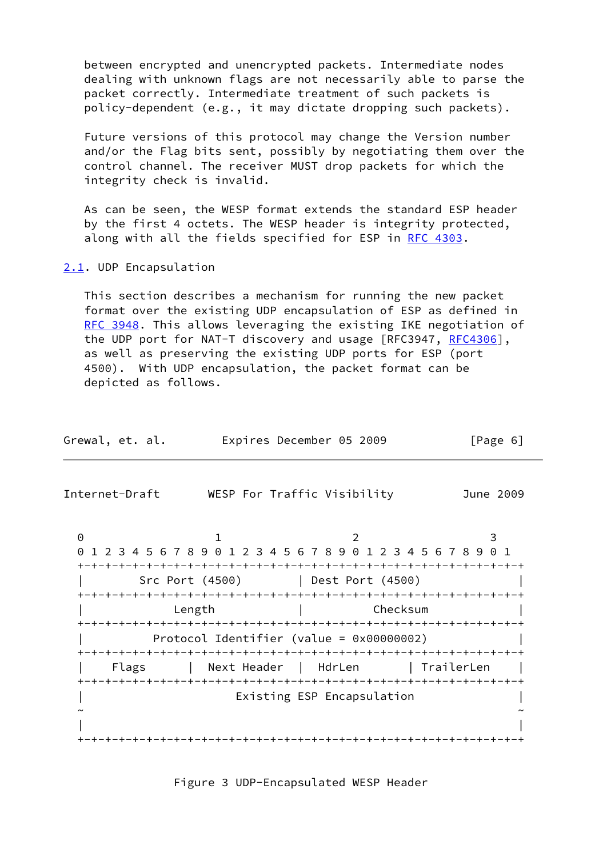between encrypted and unencrypted packets. Intermediate nodes dealing with unknown flags are not necessarily able to parse the packet correctly. Intermediate treatment of such packets is policy-dependent (e.g., it may dictate dropping such packets).

 Future versions of this protocol may change the Version number and/or the Flag bits sent, possibly by negotiating them over the control channel. The receiver MUST drop packets for which the integrity check is invalid.

 As can be seen, the WESP format extends the standard ESP header by the first 4 octets. The WESP header is integrity protected, along with all the fields specified for ESP in [RFC 4303.](https://datatracker.ietf.org/doc/pdf/rfc4303)

# <span id="page-6-0"></span>[2.1](#page-6-0). UDP Encapsulation

 This section describes a mechanism for running the new packet format over the existing UDP encapsulation of ESP as defined in [RFC 3948](https://datatracker.ietf.org/doc/pdf/rfc3948). This allows leveraging the existing IKE negotiation of the UDP port for NAT-T discovery and usage [RFC3947, [RFC4306](https://datatracker.ietf.org/doc/pdf/rfc4306)], as well as preserving the existing UDP ports for ESP (port 4500). With UDP encapsulation, the packet format can be depicted as follows.

<span id="page-6-1"></span>

| Grewal, et. al. | Expires December 05 2009                                      |                            | [Page 6]   |
|-----------------|---------------------------------------------------------------|----------------------------|------------|
| Internet-Draft  | WESP For Traffic Visibility                                   |                            | June 2009  |
| 0               | 1 2 3 4 5 6 7 8 9 0 1 2 3 4 5 6 7 8 9 0 1 2 3 4 5 6 7 8 9 0 1 |                            | 3          |
|                 | Src Port (4500)                                               | Dest Port (4500)           |            |
|                 | Length                                                        | Checksum                   |            |
|                 | Protocol Identifier (value = $0 \times 00000002$ )            |                            |            |
| Flags           | Next Header   HdrLen                                          |                            | TrailerLen |
|                 |                                                               | Existing ESP Encapsulation |            |
|                 |                                                               |                            |            |

#### Figure 3 UDP-Encapsulated WESP Header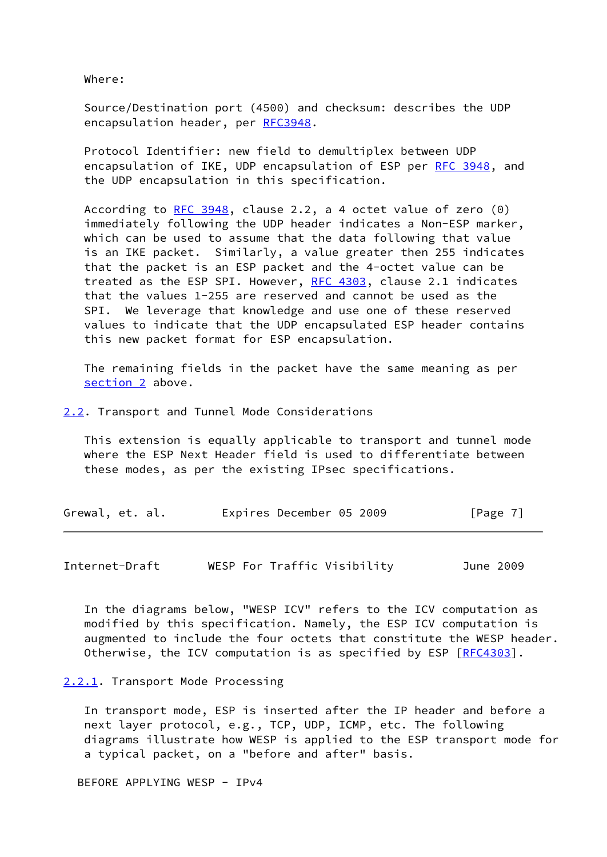Where:

 Source/Destination port (4500) and checksum: describes the UDP encapsulation header, per [RFC3948](https://datatracker.ietf.org/doc/pdf/rfc3948).

 Protocol Identifier: new field to demultiplex between UDP encapsulation of IKE, UDP encapsulation of ESP per [RFC 3948,](https://datatracker.ietf.org/doc/pdf/rfc3948) and the UDP encapsulation in this specification.

According to [RFC 3948](https://datatracker.ietf.org/doc/pdf/rfc3948), clause 2.2, a 4 octet value of zero (0) immediately following the UDP header indicates a Non-ESP marker, which can be used to assume that the data following that value is an IKE packet. Similarly, a value greater then 255 indicates that the packet is an ESP packet and the 4-octet value can be treated as the ESP SPI. However, [RFC 4303](https://datatracker.ietf.org/doc/pdf/rfc4303), clause 2.1 indicates that the values 1-255 are reserved and cannot be used as the SPI. We leverage that knowledge and use one of these reserved values to indicate that the UDP encapsulated ESP header contains this new packet format for ESP encapsulation.

 The remaining fields in the packet have the same meaning as per [section 2](#page-3-3) above.

<span id="page-7-0"></span>[2.2](#page-7-0). Transport and Tunnel Mode Considerations

 This extension is equally applicable to transport and tunnel mode where the ESP Next Header field is used to differentiate between these modes, as per the existing IPsec specifications.

| Expires December 05 2009<br>Grewal, et. al. | [Page 7] |
|---------------------------------------------|----------|
|---------------------------------------------|----------|

<span id="page-7-2"></span>Internet-Draft WESP For Traffic Visibility June 2009

 In the diagrams below, "WESP ICV" refers to the ICV computation as modified by this specification. Namely, the ESP ICV computation is augmented to include the four octets that constitute the WESP header. Otherwise, the ICV computation is as specified by ESP [[RFC4303](https://datatracker.ietf.org/doc/pdf/rfc4303)].

#### <span id="page-7-1"></span>[2.2.1](#page-7-1). Transport Mode Processing

 In transport mode, ESP is inserted after the IP header and before a next layer protocol, e.g., TCP, UDP, ICMP, etc. The following diagrams illustrate how WESP is applied to the ESP transport mode for a typical packet, on a "before and after" basis.

BEFORE APPLYING WESP - IPv4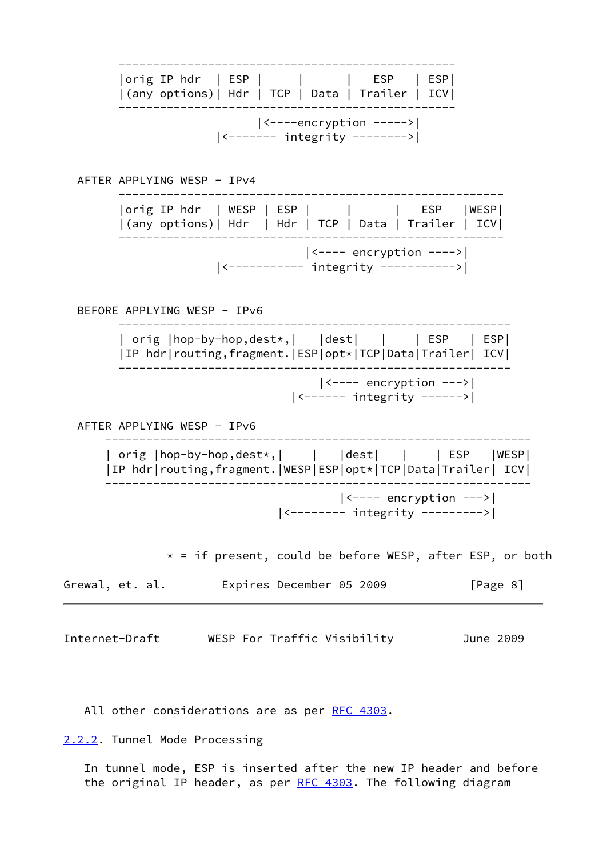| Internet-Draft WESP For Traffic Visibility                                                                        | June 2009 |
|-------------------------------------------------------------------------------------------------------------------|-----------|
| Expires December 05 2009<br>Grewal, et. al.                                                                       | [Page 8]  |
| * = if present, could be before WESP, after ESP, or both                                                          |           |
| $ $ <---- encryption ---> $ $<br>  <-------- integrity --------->                                                 |           |
| IP hdr routing, fragment. WESP ESP opt* TCP Data Trailer  ICV                                                     |           |
| orig  hop-by-hop,dest*,        dest         ESP    WESP                                                           |           |
| AFTER APPLYING WESP - IPv6                                                                                        |           |
| $\vert$ <------ integrity ------>                                                                                 |           |
| orig   hop-by-hop, dest*,     dest        ESP   ESP  <br> IP hdr routing,fragment. ESP opt* TCP Data Trailer  ICV |           |
| BEFORE APPLYING WESP - IPv6                                                                                       |           |
| <----------- integrity ----------->                                                                               |           |
| $ $ <---- encryption ----> $ $                                                                                    |           |
| orig IP hdr   WESP   ESP                   ESP   WESP <br> (any options)  Hdr   Hdr   TCP   Data   Trailer   ICV  |           |
| AFTER APPLYING WESP - IPv4                                                                                        |           |
| $ \leftarrow---encryption --- \rangle$<br>  <------- integrity -------->                                          |           |
| orig IP hdr   ESP                 ESP   ESP <br> (any options)  Hdr   TCP   Data   Trailer   ICV                  |           |
|                                                                                                                   |           |

<span id="page-8-1"></span>All other considerations are as per [RFC 4303.](https://datatracker.ietf.org/doc/pdf/rfc4303)

<span id="page-8-0"></span>[2.2.2](#page-8-0). Tunnel Mode Processing

 In tunnel mode, ESP is inserted after the new IP header and before the original IP header, as per [RFC 4303.](https://datatracker.ietf.org/doc/pdf/rfc4303) The following diagram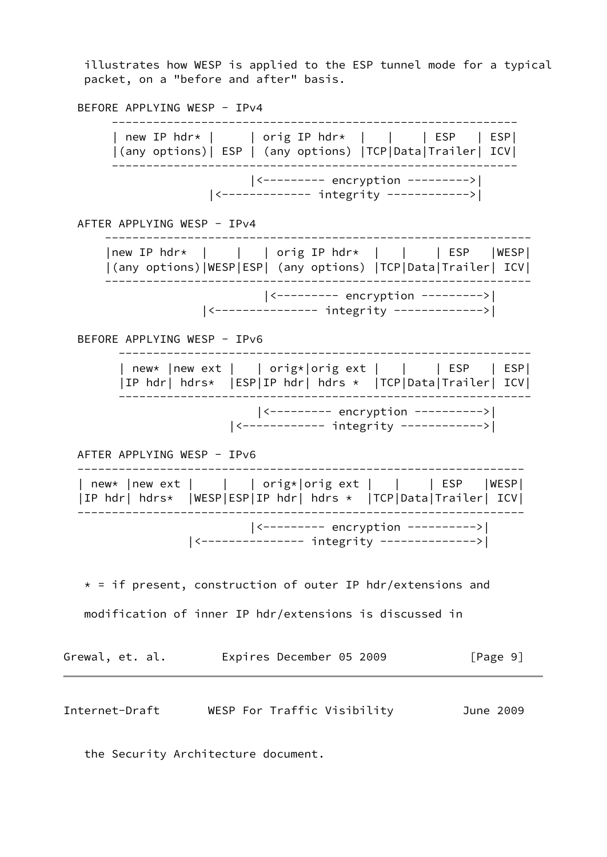illustrates how WESP is applied to the ESP tunnel mode for a typical packet, on a "before and after" basis.

BEFORE APPLYING WESP - IPv4

 ----------------------------------------------------------- | new IP hdr\* | | | orig IP hdr\* | | | | ESP | ESP| |(any options)| ESP | (any options) |TCP|Data|Trailer| ICV| ----------------------------------------------------------- |<--------- encryption --------->| |<------------- integrity ------------>| AFTER APPLYING WESP - IPv4 -------------------------------------------------------------- |new IP hdr\* | | | orig IP hdr\* | | | ESP |WESP| |(any options)|WESP|ESP| (any options) |TCP|Data|Trailer| ICV| -------------------------------------------------------------- |<--------- encryption --------->| |<--------------- integrity ------------->| BEFORE APPLYING WESP - IPv6 ------------------------------------------------------------ | new\* |new ext | | orig\*|orig ext | | | | ESP | ESP| |IP hdr| hdrs\* |ESP|IP hdr| hdrs \* |TCP|Data|Trailer| ICV| ------------------------------------------------------------ |<--------- encryption ---------->| |<------------ integrity ------------>| AFTER APPLYING WESP - IPv6 ----------------------------------------------------------------- | new\* |new ext | | | orig\*|orig ext | | | ESP |WESP| |IP hdr| hdrs\* |WESP|ESP|IP hdr| hdrs \* |TCP|Data|Trailer| ICV| ----------------------------------------------------------------- |<--------- encryption ---------->| |<--------------- integrity -------------->|  $*$  = if present, construction of outer IP hdr/extensions and modification of inner IP hdr/extensions is discussed in Grewal, et. al. Expires December 05 2009 [Page 9] Internet-Draft WESP For Traffic Visibility June 2009

<span id="page-9-0"></span>the Security Architecture document.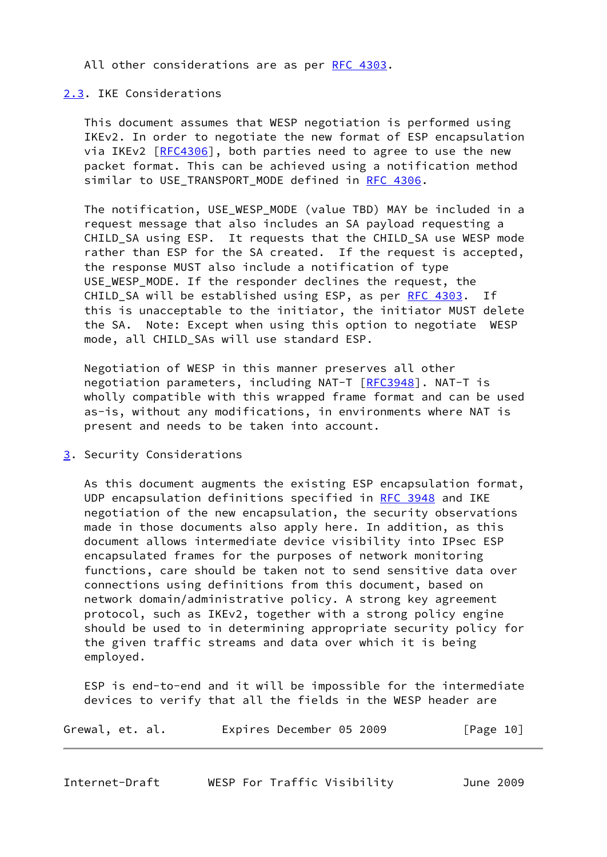All other considerations are as per [RFC 4303.](https://datatracker.ietf.org/doc/pdf/rfc4303)

### <span id="page-10-0"></span>[2.3](#page-10-0). IKE Considerations

 This document assumes that WESP negotiation is performed using IKEv2. In order to negotiate the new format of ESP encapsulation via IKEv2 [[RFC4306](https://datatracker.ietf.org/doc/pdf/rfc4306)], both parties need to agree to use the new packet format. This can be achieved using a notification method similar to USE\_TRANSPORT\_MODE defined in [RFC 4306](https://datatracker.ietf.org/doc/pdf/rfc4306).

 The notification, USE\_WESP\_MODE (value TBD) MAY be included in a request message that also includes an SA payload requesting a CHILD SA using ESP. It requests that the CHILD SA use WESP mode rather than ESP for the SA created. If the request is accepted, the response MUST also include a notification of type USE WESP MODE. If the responder declines the request, the CHILD\_SA will be established using ESP, as per [RFC 4303.](https://datatracker.ietf.org/doc/pdf/rfc4303) If this is unacceptable to the initiator, the initiator MUST delete the SA. Note: Except when using this option to negotiate WESP mode, all CHILD\_SAs will use standard ESP.

 Negotiation of WESP in this manner preserves all other negotiation parameters, including NAT-T [\[RFC3948](https://datatracker.ietf.org/doc/pdf/rfc3948)]. NAT-T is wholly compatible with this wrapped frame format and can be used as-is, without any modifications, in environments where NAT is present and needs to be taken into account.

<span id="page-10-1"></span>[3](#page-10-1). Security Considerations

 As this document augments the existing ESP encapsulation format, UDP encapsulation definitions specified in [RFC 3948](https://datatracker.ietf.org/doc/pdf/rfc3948) and IKE negotiation of the new encapsulation, the security observations made in those documents also apply here. In addition, as this document allows intermediate device visibility into IPsec ESP encapsulated frames for the purposes of network monitoring functions, care should be taken not to send sensitive data over connections using definitions from this document, based on network domain/administrative policy. A strong key agreement protocol, such as IKEv2, together with a strong policy engine should be used to in determining appropriate security policy for the given traffic streams and data over which it is being employed.

 ESP is end-to-end and it will be impossible for the intermediate devices to verify that all the fields in the WESP header are

| Grewal, et. al. | Expires December 05 2009 |  | [Page 10] |
|-----------------|--------------------------|--|-----------|
|-----------------|--------------------------|--|-----------|

<span id="page-10-2"></span>

| Internet-Draft |  |  |  | WESP For Traffic Visibility |  | June 2009 |
|----------------|--|--|--|-----------------------------|--|-----------|
|----------------|--|--|--|-----------------------------|--|-----------|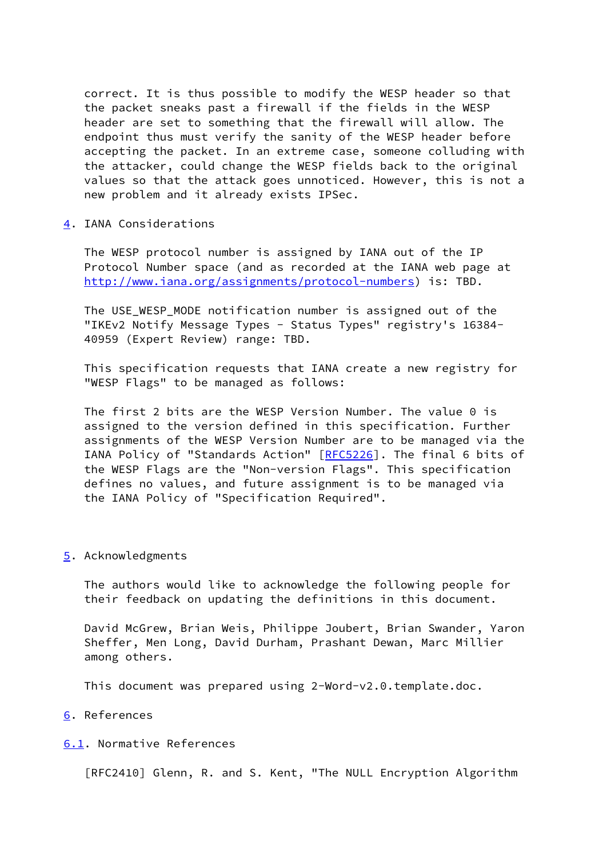correct. It is thus possible to modify the WESP header so that the packet sneaks past a firewall if the fields in the WESP header are set to something that the firewall will allow. The endpoint thus must verify the sanity of the WESP header before accepting the packet. In an extreme case, someone colluding with the attacker, could change the WESP fields back to the original values so that the attack goes unnoticed. However, this is not a new problem and it already exists IPSec.

<span id="page-11-0"></span>[4](#page-11-0). IANA Considerations

 The WESP protocol number is assigned by IANA out of the IP Protocol Number space (and as recorded at the IANA web page at <http://www.iana.org/assignments/protocol-numbers>) is: TBD.

 The USE\_WESP\_MODE notification number is assigned out of the "IKEv2 Notify Message Types - Status Types" registry's 16384- 40959 (Expert Review) range: TBD.

 This specification requests that IANA create a new registry for "WESP Flags" to be managed as follows:

 The first 2 bits are the WESP Version Number. The value 0 is assigned to the version defined in this specification. Further assignments of the WESP Version Number are to be managed via the IANA Policy of "Standards Action" [[RFC5226](https://datatracker.ietf.org/doc/pdf/rfc5226)]. The final 6 bits of the WESP Flags are the "Non-version Flags". This specification defines no values, and future assignment is to be managed via the IANA Policy of "Specification Required".

#### <span id="page-11-1"></span>[5](#page-11-1). Acknowledgments

 The authors would like to acknowledge the following people for their feedback on updating the definitions in this document.

 David McGrew, Brian Weis, Philippe Joubert, Brian Swander, Yaron Sheffer, Men Long, David Durham, Prashant Dewan, Marc Millier among others.

This document was prepared using 2-Word-v2.0.template.doc.

# <span id="page-11-2"></span>[6](#page-11-2). References

#### <span id="page-11-3"></span>[6.1](#page-11-3). Normative References

[RFC2410] Glenn, R. and S. Kent, "The NULL Encryption Algorithm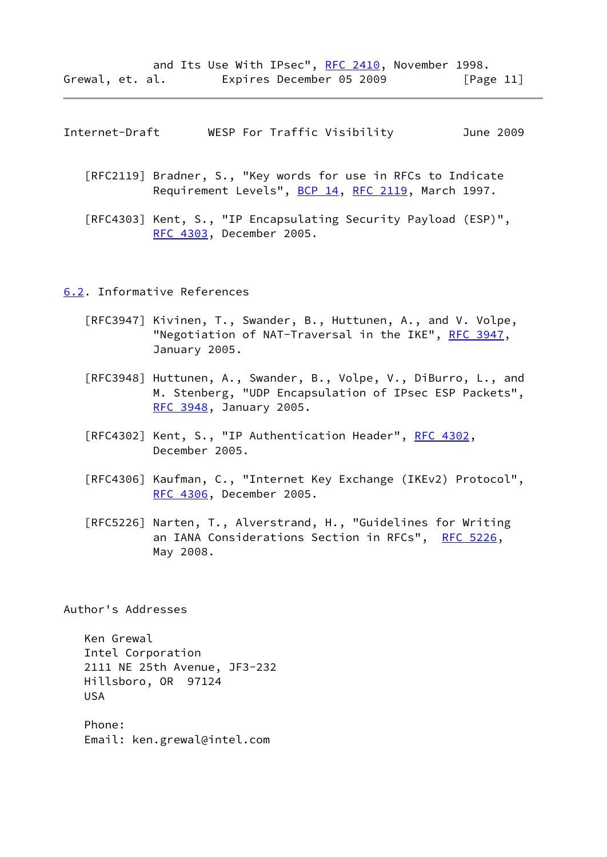<span id="page-12-1"></span>

| Internet-Draft |  |  |  | WESP For Traffic Visibility |  | June 2009 |
|----------------|--|--|--|-----------------------------|--|-----------|
|----------------|--|--|--|-----------------------------|--|-----------|

- [RFC2119] Bradner, S., "Key words for use in RFCs to Indicate Requirement Levels", [BCP 14](https://datatracker.ietf.org/doc/pdf/bcp14), [RFC 2119,](https://datatracker.ietf.org/doc/pdf/rfc2119) March 1997.
- [RFC4303] Kent, S., "IP Encapsulating Security Payload (ESP)", [RFC 4303](https://datatracker.ietf.org/doc/pdf/rfc4303), December 2005.

### <span id="page-12-0"></span>[6.2](#page-12-0). Informative References

- [RFC3947] Kivinen, T., Swander, B., Huttunen, A., and V. Volpe, "Negotiation of NAT-Traversal in the IKE", [RFC 3947](https://datatracker.ietf.org/doc/pdf/rfc3947), January 2005.
- [RFC3948] Huttunen, A., Swander, B., Volpe, V., DiBurro, L., and M. Stenberg, "UDP Encapsulation of IPsec ESP Packets", [RFC 3948](https://datatracker.ietf.org/doc/pdf/rfc3948), January 2005.
- [RFC4302] Kent, S., "IP Authentication Header", [RFC 4302](https://datatracker.ietf.org/doc/pdf/rfc4302), December 2005.
- [RFC4306] Kaufman, C., "Internet Key Exchange (IKEv2) Protocol", [RFC 4306](https://datatracker.ietf.org/doc/pdf/rfc4306), December 2005.
- [RFC5226] Narten, T., Alverstrand, H., "Guidelines for Writing an IANA Considerations Section in RFCs", [RFC 5226,](https://datatracker.ietf.org/doc/pdf/rfc5226) May 2008.

Author's Addresses

 Ken Grewal Intel Corporation 2111 NE 25th Avenue, JF3-232 Hillsboro, OR 97124 USA

 Phone: Email: ken.grewal@intel.com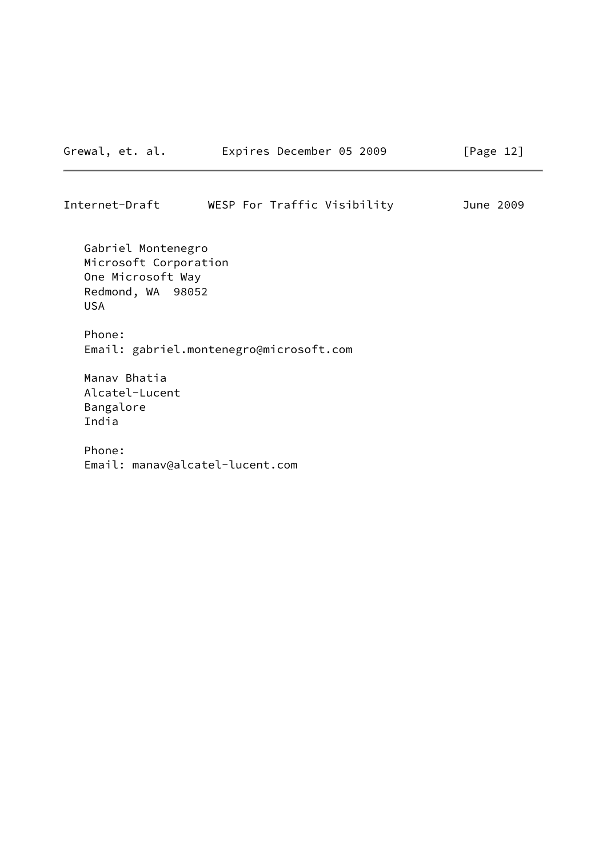| Internet-Draft |  | WESP For Traffic Visibility | June 2009 |
|----------------|--|-----------------------------|-----------|
|                |  |                             |           |

 Gabriel Montenegro Microsoft Corporation One Microsoft Way Redmond, WA 98052 USA

 Phone: Email: gabriel.montenegro@microsoft.com

 Manav Bhatia Alcatel-Lucent Bangalore India

 Phone: Email: manav@alcatel-lucent.com